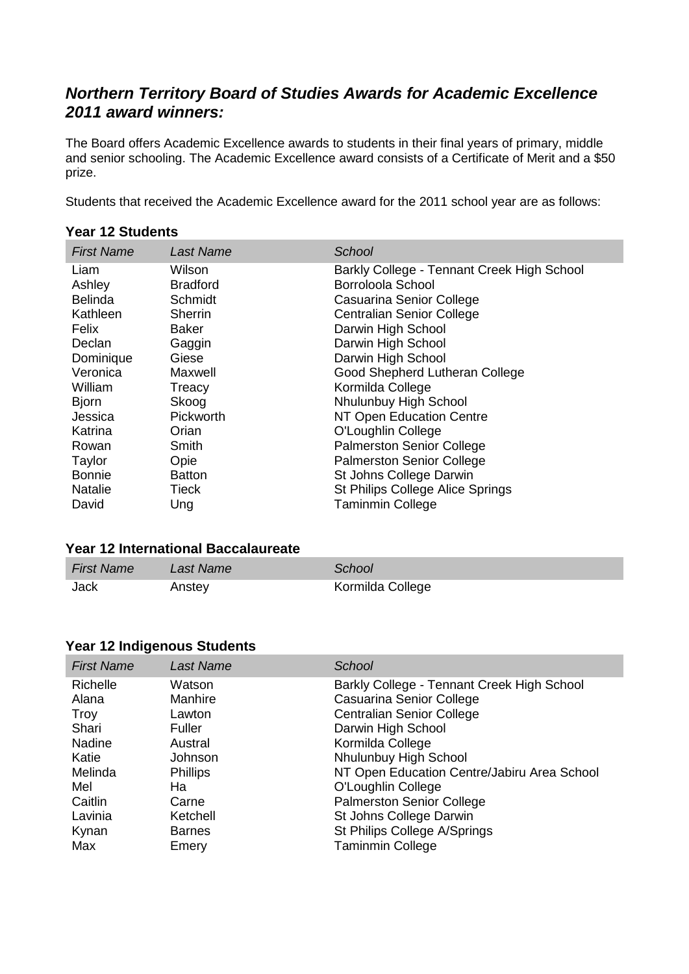# *Northern Territory Board of Studies Awards for Academic Excellence 2011 award winners:*

The Board offers Academic Excellence awards to students in their final years of primary, middle and senior schooling. The Academic Excellence award consists of a Certificate of Merit and a \$50 prize.

Students that received the Academic Excellence award for the 2011 school year are as follows:

|                   | 99.129990.199    |                                            |  |  |
|-------------------|------------------|--------------------------------------------|--|--|
| <b>First Name</b> | <b>Last Name</b> | School                                     |  |  |
| Liam              | Wilson           | Barkly College - Tennant Creek High School |  |  |
| Ashley            | <b>Bradford</b>  | Borroloola School                          |  |  |
| <b>Belinda</b>    | Schmidt          | Casuarina Senior College                   |  |  |
| Kathleen          | Sherrin          | <b>Centralian Senior College</b>           |  |  |
| Felix             | Baker            | Darwin High School                         |  |  |
| Declan            | Gaggin           | Darwin High School                         |  |  |
| Dominique         | Giese            | Darwin High School                         |  |  |
| Veronica          | Maxwell          | Good Shepherd Lutheran College             |  |  |
| William           | Treacy           | Kormilda College                           |  |  |
| <b>Bjorn</b>      | Skoog            | Nhulunbuy High School                      |  |  |
| Jessica           | Pickworth        | NT Open Education Centre                   |  |  |
| Katrina           | Orian            | O'Loughlin College                         |  |  |
| Rowan             | Smith            | <b>Palmerston Senior College</b>           |  |  |
| Taylor            | Opie             | <b>Palmerston Senior College</b>           |  |  |
| <b>Bonnie</b>     | <b>Batton</b>    | St Johns College Darwin                    |  |  |
| <b>Natalie</b>    | Tieck            | St Philips College Alice Springs           |  |  |
| David             | Ung              | <b>Taminmin College</b>                    |  |  |
|                   |                  |                                            |  |  |

### **Year 12 Students**

#### **Year 12 International Baccalaureate**

| <b>First Name</b> | Last Name | School           |
|-------------------|-----------|------------------|
| Jack              | Anstey    | Kormilda College |

### **Year 12 Indigenous Students**

| <b>First Name</b> | <b>Last Name</b> | School                                      |
|-------------------|------------------|---------------------------------------------|
| Richelle          | Watson           | Barkly College - Tennant Creek High School  |
| Alana             | Manhire          | Casuarina Senior College                    |
| Troy              | Lawton           | <b>Centralian Senior College</b>            |
| Shari             | Fuller           | Darwin High School                          |
| <b>Nadine</b>     | Austral          | Kormilda College                            |
| Katie             | Johnson          | Nhulunbuy High School                       |
| Melinda           | <b>Phillips</b>  | NT Open Education Centre/Jabiru Area School |
| Mel               | Ha               | O'Loughlin College                          |
| Caitlin           | Carne            | <b>Palmerston Senior College</b>            |
| Lavinia           | Ketchell         | St Johns College Darwin                     |
| Kynan             | <b>Barnes</b>    | St Philips College A/Springs                |
| Max               | Emery            | <b>Taminmin College</b>                     |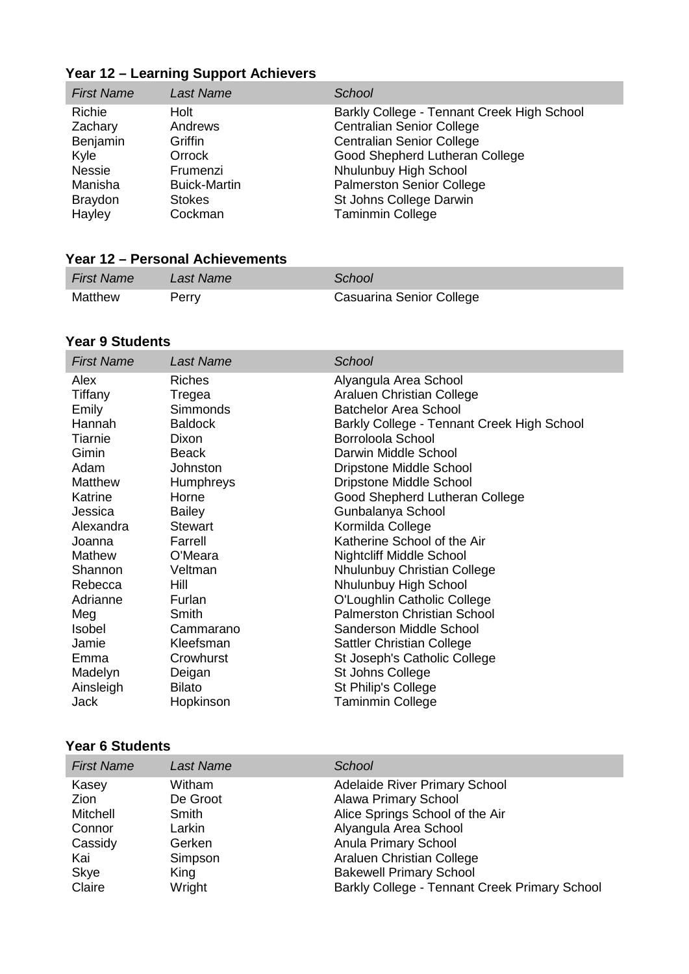| <b>First Name</b> | <b>Last Name</b>    | School                                     |
|-------------------|---------------------|--------------------------------------------|
| Richie            | Holt                | Barkly College - Tennant Creek High School |
| Zachary           | Andrews             | <b>Centralian Senior College</b>           |
| Benjamin          | Griffin             | <b>Centralian Senior College</b>           |
| Kyle              | Orrock              | Good Shepherd Lutheran College             |
| <b>Nessie</b>     | Frumenzi            | Nhulunbuy High School                      |
| Manisha           | <b>Buick-Martin</b> | <b>Palmerston Senior College</b>           |
| <b>Braydon</b>    | <b>Stokes</b>       | St Johns College Darwin                    |
| Hayley            | Cockman             | <b>Taminmin College</b>                    |

# **Year 12 – Learning Support Achievers**

### **Year 12 – Personal Achievements**

| <b>First Name</b> | Last Name | School                   |
|-------------------|-----------|--------------------------|
| Matthew           | Perry     | Casuarina Senior College |

## **Year 9 Students**

| <b>First Name</b> | <b>Last Name</b> | School                                     |
|-------------------|------------------|--------------------------------------------|
| Alex              | <b>Riches</b>    | Alyangula Area School                      |
| Tiffany           | Tregea           | Araluen Christian College                  |
| Emily             | <b>Simmonds</b>  | <b>Batchelor Area School</b>               |
| Hannah            | <b>Baldock</b>   | Barkly College - Tennant Creek High School |
| Tiarnie           | Dixon            | Borroloola School                          |
| Gimin             | <b>Beack</b>     | Darwin Middle School                       |
| Adam              | Johnston         | <b>Dripstone Middle School</b>             |
| <b>Matthew</b>    | <b>Humphreys</b> | Dripstone Middle School                    |
| Katrine           | Horne            | Good Shepherd Lutheran College             |
| Jessica           | <b>Bailey</b>    | Gunbalanya School                          |
| Alexandra         | <b>Stewart</b>   | Kormilda College                           |
| Joanna            | Farrell          | Katherine School of the Air                |
| <b>Mathew</b>     | O'Meara          | <b>Nightcliff Middle School</b>            |
| Shannon           | Veltman          | Nhulunbuy Christian College                |
| Rebecca           | Hill             | Nhulunbuy High School                      |
| Adrianne          | Furlan           | O'Loughlin Catholic College                |
| Meg               | Smith            | <b>Palmerston Christian School</b>         |
| <b>Isobel</b>     | Cammarano        | Sanderson Middle School                    |
| Jamie             | Kleefsman        | <b>Sattler Christian College</b>           |
| Emma              | Crowhurst        | St Joseph's Catholic College               |
| Madelyn           | Deigan           | St Johns College                           |
| Ainsleigh         | <b>Bilato</b>    | St Philip's College                        |
| Jack              | Hopkinson        | <b>Taminmin College</b>                    |

# **Year 6 Students**

| <b>First Name</b> | <b>Last Name</b> | <b>School</b>                                 |
|-------------------|------------------|-----------------------------------------------|
| Kasey             | Witham           | <b>Adelaide River Primary School</b>          |
| <b>Zion</b>       | De Groot         | <b>Alawa Primary School</b>                   |
| Mitchell          | Smith            | Alice Springs School of the Air               |
| Connor            | Larkin           | Alyangula Area School                         |
| Cassidy           | Gerken           | <b>Anula Primary School</b>                   |
| Kai               | Simpson          | Araluen Christian College                     |
| Skye              | King             | <b>Bakewell Primary School</b>                |
| Claire            | Wright           | Barkly College - Tennant Creek Primary School |